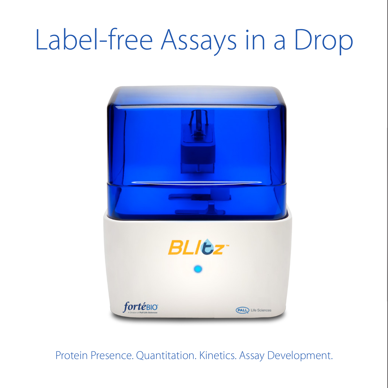# Label-free Assays in a Drop



Protein Presence. Quantitation. Kinetics. Assay Development.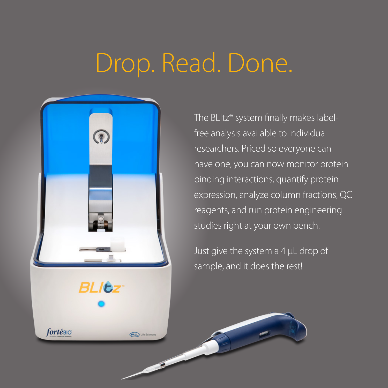## Drop. Read. Done.



The BLItz® system finally makes labelfree analysis available to individual researchers. Priced so everyone can have one, you can now monitor protein binding interactions, quantify protein expression, analyze column fractions, QC reagents, and run protein engineering studies right at your own bench.

Just give the system a 4 µL drop of sample, and it does the rest!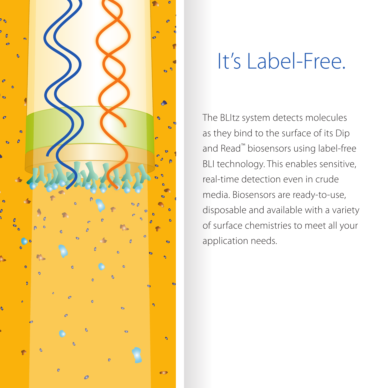

### It's Label-Free.

The BLItz system detects molecules as they bind to the surface of its Dip and Read™ biosensors using label-free BLI technology. This enables sensitive, real-time detection even in crude media. Biosensors are ready-to-use, disposable and available with a variety of surface chemistries to meet all your application needs.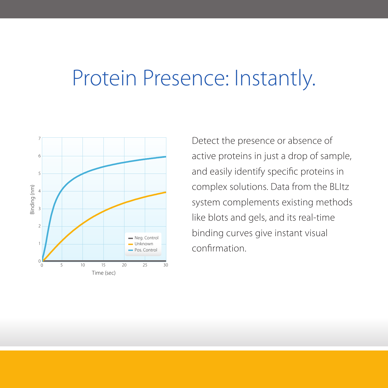### Protein Presence: Instantly.



Detect the presence or absence of active proteins in just a drop of sample, and easily identify specific proteins in complex solutions. Data from the BLItz system complements existing methods like blots and gels, and its real-time binding curves give instant visual confirmation.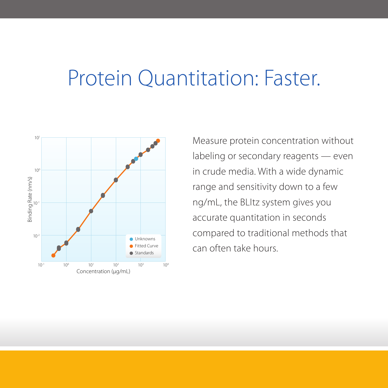### Protein Quantitation: Faster.



Measure protein concentration without labeling or secondary reagents — even in crude media. With a wide dynamic range and sensitivity down to a few ng/mL, the BLItz system gives you accurate quantitation in seconds compared to traditional methods that can often take hours.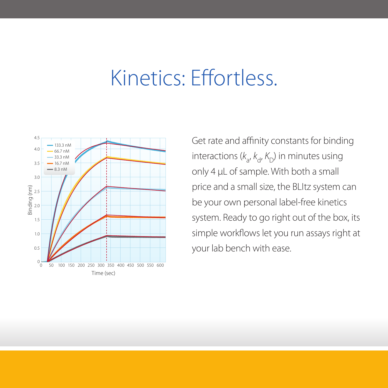### Kinetics: Effortless.



Get rate and affinity constants for binding interactions ( $k_{\mathsf{a}}, k_{\mathsf{d}}, K_{\mathsf{D}}$ ) in minutes using only 4 µL of sample. With both a small price and a small size, the BLItz system can be your own personal label-free kinetics system. Ready to go right out of the box, its simple workflows let you run assays right at your lab bench with ease.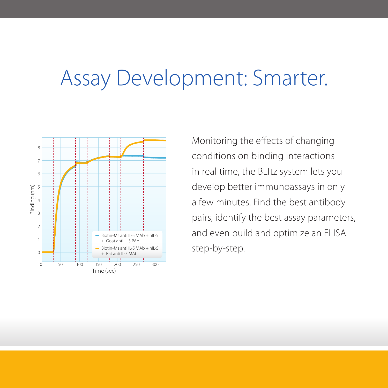### Assay Development: Smarter.



Monitoring the effects of changing conditions on binding interactions in real time, the BLItz system lets you develop better immunoassays in only a few minutes. Find the best antibody pairs, identify the best assay parameters, and even build and optimize an ELISA step-by-step.